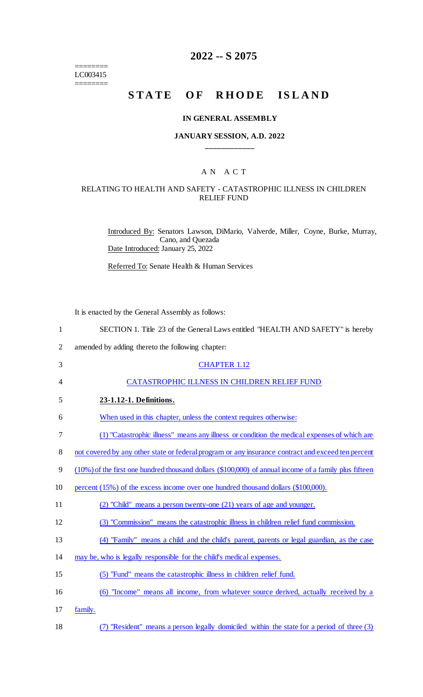======== LC003415

========

# **2022 -- S 2075**

# **STATE OF RHODE ISLAND**

#### **IN GENERAL ASSEMBLY**

#### **JANUARY SESSION, A.D. 2022 \_\_\_\_\_\_\_\_\_\_\_\_**

## A N A C T

### RELATING TO HEALTH AND SAFETY - CATASTROPHIC ILLNESS IN CHILDREN RELIEF FUND

Introduced By: Senators Lawson, DiMario, Valverde, Miller, Coyne, Burke, Murray, Cano, and Quezada Date Introduced: January 25, 2022

Referred To: Senate Health & Human Services

It is enacted by the General Assembly as follows:

| $\mathbf{1}$   | SECTION 1. Title 23 of the General Laws entitled "HEALTH AND SAFETY" is hereby                        |
|----------------|-------------------------------------------------------------------------------------------------------|
| $\overline{2}$ | amended by adding thereto the following chapter:                                                      |
| 3              | <b>CHAPTER 1.12</b>                                                                                   |
| 4              | CATASTROPHIC ILLNESS IN CHILDREN RELIEF FUND                                                          |
| 5              | 23-1.12-1. Definitions.                                                                               |
| 6              | When used in this chapter, unless the context requires otherwise:                                     |
| 7              | (1) "Catastrophic illness" means any illness or condition the medical expenses of which are           |
| 8              | not covered by any other state or federal program or any insurance contract and exceed ten percent    |
| 9              | (10%) of the first one hundred thousand dollars (\$100,000) of annual income of a family plus fifteen |
| 10             | percent (15%) of the excess income over one hundred thousand dollars (\$100,000).                     |
| 11             | (2) "Child" means a person twenty-one (21) years of age and younger.                                  |
| 12             | (3) "Commission" means the catastrophic illness in children relief fund commission.                   |
| 13             | (4) "Family" means a child and the child's parent, parents or legal guardian, as the case             |
| 14             | may be, who is legally responsible for the child's medical expenses.                                  |
| 15             | (5) "Fund" means the catastrophic illness in children relief fund.                                    |
| 16             | (6) "Income" means all income, from whatever source derived, actually received by a                   |
| 17             | family.                                                                                               |
| 18             | (7) "Resident" means a person legally domiciled within the state for a period of three (3)            |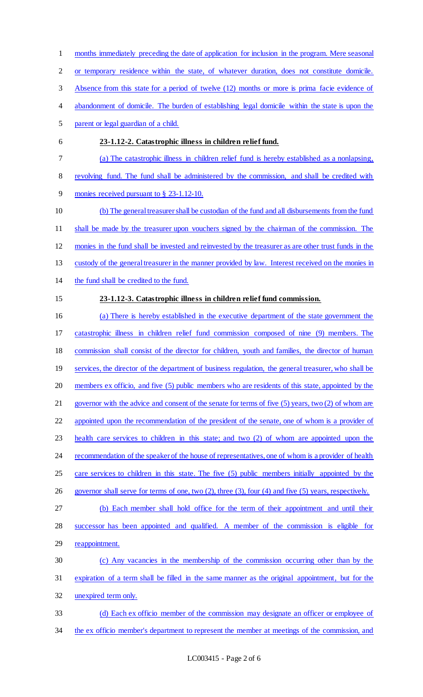months immediately preceding the date of application for inclusion in the program. Mere seasonal or temporary residence within the state, of whatever duration, does not constitute domicile. Absence from this state for a period of twelve (12) months or more is prima facie evidence of 4 abandonment of domicile. The burden of establishing legal domicile within the state is upon the parent or legal guardian of a child. **23-1.12-2. Catastrophic illness in children relief fund.**  (a) The catastrophic illness in children relief fund is hereby established as a nonlapsing, revolving fund. The fund shall be administered by the commission, and shall be credited with monies received pursuant to § 23-1.12-10. (b) The general treasurer shall be custodian of the fund and all disbursements from the fund shall be made by the treasurer upon vouchers signed by the chairman of the commission. The monies in the fund shall be invested and reinvested by the treasurer as are other trust funds in the custody of the general treasurer in the manner provided by law. Interest received on the monies in the fund shall be credited to the fund. **23-1.12-3. Catastrophic illness in children relief fund commission.**  (a) There is hereby established in the executive department of the state government the catastrophic illness in children relief fund commission composed of nine (9) members. The commission shall consist of the director for children, youth and families, the director of human 19 services, the director of the department of business regulation, the general treasurer, who shall be members ex officio, and five (5) public members who are residents of this state, appointed by the 21 governor with the advice and consent of the senate for terms of five (5) years, two (2) of whom are appointed upon the recommendation of the president of the senate, one of whom is a provider of health care services to children in this state; and two (2) of whom are appointed upon the 24 recommendation of the speaker of the house of representatives, one of whom is a provider of health care services to children in this state. The five (5) public members initially appointed by the governor shall serve for terms of one, two (2), three (3), four (4) and five (5) years, respectively. (b) Each member shall hold office for the term of their appointment and until their successor has been appointed and qualified. A member of the commission is eligible for 29 reappointment. (c) Any vacancies in the membership of the commission occurring other than by the expiration of a term shall be filled in the same manner as the original appointment, but for the unexpired term only. (d) Each ex officio member of the commission may designate an officer or employee of 34 the ex officio member's department to represent the member at meetings of the commission, and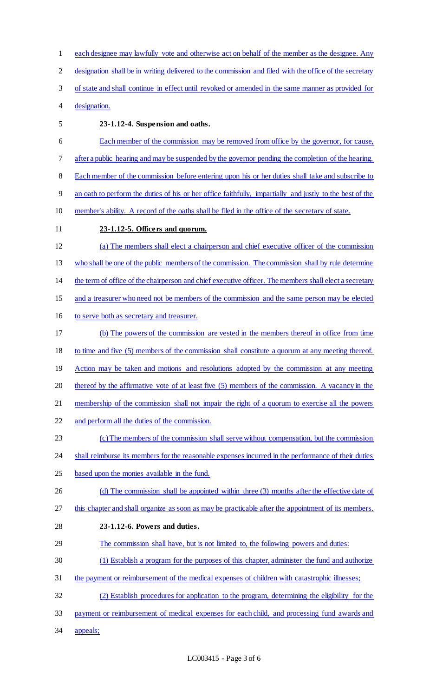each designee may lawfully vote and otherwise act on behalf of the member as the designee. Any designation shall be in writing delivered to the commission and filed with the office of the secretary of state and shall continue in effect until revoked or amended in the same manner as provided for designation. **23-1.12-4. Suspension and oaths.**  Each member of the commission may be removed from office by the governor, for cause, after a public hearing and may be suspended by the governor pending the completion of the hearing. Each member of the commission before entering upon his or her duties shall take and subscribe to an oath to perform the duties of his or her office faithfully, impartially and justly to the best of the member's ability. A record of the oaths shall be filed in the office of the secretary of state. **23-1.12-5. Officers and quorum.**  (a) The members shall elect a chairperson and chief executive officer of the commission who shall be one of the public members of the commission. The commission shall by rule determine the term of office of the chairperson and chief executive officer. The members shall elect a secretary and a treasurer who need not be members of the commission and the same person may be elected to serve both as secretary and treasurer. (b) The powers of the commission are vested in the members thereof in office from time to time and five (5) members of the commission shall constitute a quorum at any meeting thereof. 19 Action may be taken and motions and resolutions adopted by the commission at any meeting thereof by the affirmative vote of at least five (5) members of the commission. A vacancy in the 21 membership of the commission shall not impair the right of a quorum to exercise all the powers and perform all the duties of the commission. 23 (c) The members of the commission shall serve without compensation, but the commission 24 shall reimburse its members for the reasonable expenses incurred in the performance of their duties based upon the monies available in the fund. 26 (d) The commission shall be appointed within three (3) months after the effective date of this chapter and shall organize as soon as may be practicable after the appointment of its members. **23-1.12-6. Powers and duties.**  The commission shall have, but is not limited to, the following powers and duties: (1) Establish a program for the purposes of this chapter, administer the fund and authorize the payment or reimbursement of the medical expenses of children with catastrophic illnesses; (2) Establish procedures for application to the program, determining the eligibility for the payment or reimbursement of medical expenses for each child, and processing fund awards and appeals;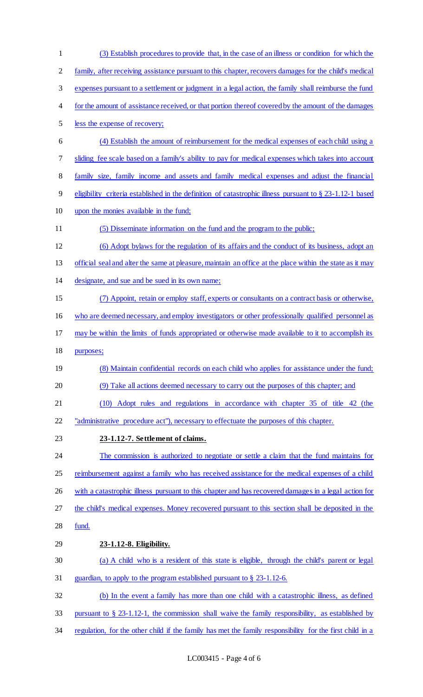(3) Establish procedures to provide that, in the case of an illness or condition for which the family, after receiving assistance pursuant to this chapter, recovers damages for the child's medical expenses pursuant to a settlement or judgment in a legal action, the family shall reimburse the fund for the amount of assistance received, or that portion thereof covered by the amount of the damages less the expense of recovery; (4) Establish the amount of reimbursement for the medical expenses of each child using a sliding fee scale based on a family's ability to pay for medical expenses which takes into account family size, family income and assets and family medical expenses and adjust the financial eligibility criteria established in the definition of catastrophic illness pursuant to § 23-1.12-1 based upon the monies available in the fund; (5) Disseminate information on the fund and the program to the public; (6) Adopt bylaws for the regulation of its affairs and the conduct of its business, adopt an 13 official seal and alter the same at pleasure, maintain an office at the place within the state as it may designate, and sue and be sued in its own name; (7) Appoint, retain or employ staff, experts or consultants on a contract basis or otherwise, who are deemed necessary, and employ investigators or other professionally qualified personnel as may be within the limits of funds appropriated or otherwise made available to it to accomplish its purposes; 19 (8) Maintain confidential records on each child who applies for assistance under the fund; (9) Take all actions deemed necessary to carry out the purposes of this chapter; and (10) Adopt rules and regulations in accordance with chapter 35 of title 42 (the "administrative procedure act"), necessary to effectuate the purposes of this chapter. **23-1.12-7. Settlement of claims.**  24 The commission is authorized to negotiate or settle a claim that the fund maintains for 25 reimbursement against a family who has received assistance for the medical expenses of a child with a catastrophic illness pursuant to this chapter and has recovered damages in a legal action for the child's medical expenses. Money recovered pursuant to this section shall be deposited in the fund. **23-1.12-8. Eligibility.**  (a) A child who is a resident of this state is eligible, through the child's parent or legal guardian, to apply to the program established pursuant to § 23-1.12-6. (b) In the event a family has more than one child with a catastrophic illness, as defined pursuant to § 23-1.12-1, the commission shall waive the family responsibility, as established by 34 regulation, for the other child if the family has met the family responsibility for the first child in a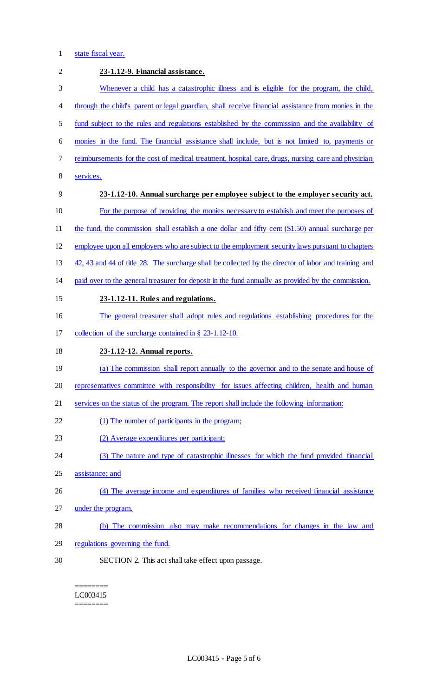## 1 state fiscal year.

| $\overline{2}$ | 23-1.12-9. Financial assistance.                                                                      |
|----------------|-------------------------------------------------------------------------------------------------------|
| 3              | Whenever a child has a catastrophic illness and is eligible for the program, the child,               |
| 4              | through the child's parent or legal guardian, shall receive financial assistance from monies in the   |
| 5              | fund subject to the rules and regulations established by the commission and the availability of       |
| 6              | monies in the fund. The financial assistance shall include, but is not limited to, payments or        |
| 7              | reimbursements for the cost of medical treatment, hospital care, drugs, nursing care and physician    |
| 8              | services.                                                                                             |
| 9              | 23-1.12-10. Annual surcharge per employee subject to the employer security act.                       |
| 10             | For the purpose of providing the monies necessary to establish and meet the purposes of               |
| 11             | the fund, the commission shall establish a one dollar and fifty cent $(\$1.50)$ annual surcharge per  |
| 12             | employee upon all employers who are subject to the employment security laws pursuant to chapters      |
| 13             | 42, 43 and 44 of title 28. The surcharge shall be collected by the director of labor and training and |
| 14             | paid over to the general treasurer for deposit in the fund annually as provided by the commission.    |
| 15             | 23-1.12-11. Rules and regulations.                                                                    |
| 16             | The general treasurer shall adopt rules and regulations establishing procedures for the               |
| 17             | collection of the surcharge contained in $\S$ 23-1.12-10.                                             |
| 18             | 23-1.12-12. Annual reports.                                                                           |
| 19             | (a) The commission shall report annually to the governor and to the senate and house of               |
| 20             | representatives committee with responsibility for issues affecting children, health and human         |
| 21             | services on the status of the program. The report shall include the following information:            |
| 22             | (1) The number of participants in the program;                                                        |
| 23             | (2) Average expenditures per participant;                                                             |
| 24             | (3) The nature and type of catastrophic illnesses for which the fund provided financial               |
| 25             | assistance; and                                                                                       |
| 26             | (4) The average income and expenditures of families who received financial assistance                 |
| 27             | under the program.                                                                                    |
| 28             | (b) The commission also may make recommendations for changes in the law and                           |
| 29             | regulations governing the fund.                                                                       |
| 30             | SECTION 2. This act shall take effect upon passage.                                                   |

======== LC003415 ========